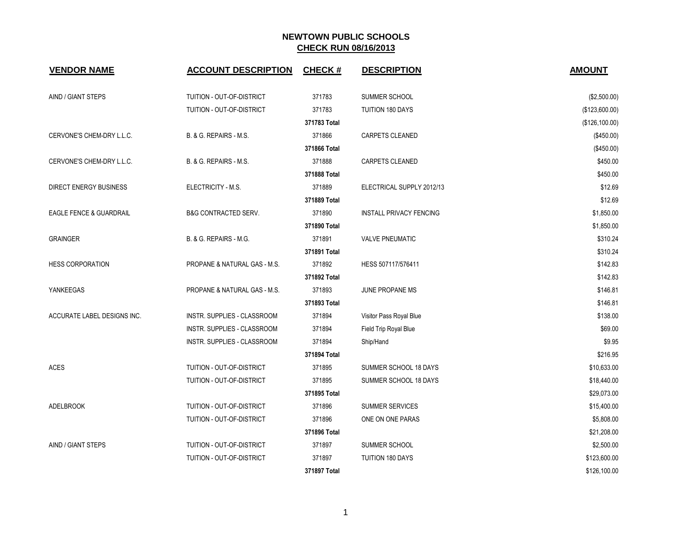| <b>VENDOR NAME</b>            | <b>ACCOUNT DESCRIPTION</b>      | <b>CHECK#</b> | <b>DESCRIPTION</b>             | <b>AMOUNT</b>  |
|-------------------------------|---------------------------------|---------------|--------------------------------|----------------|
| AIND / GIANT STEPS            | TUITION - OUT-OF-DISTRICT       | 371783        | SUMMER SCHOOL                  | (\$2,500.00)   |
|                               | TUITION - OUT-OF-DISTRICT       | 371783        | <b>TUITION 180 DAYS</b>        | (\$123,600.00) |
|                               |                                 | 371783 Total  |                                | (\$126,100.00) |
| CERVONE'S CHEM-DRY L.L.C.     | B. & G. REPAIRS - M.S.          | 371866        | <b>CARPETS CLEANED</b>         | (\$450.00)     |
|                               |                                 | 371866 Total  |                                | (\$450.00)     |
| CERVONE'S CHEM-DRY L.L.C.     | B. & G. REPAIRS - M.S.          | 371888        | <b>CARPETS CLEANED</b>         | \$450.00       |
|                               |                                 | 371888 Total  |                                | \$450.00       |
| <b>DIRECT ENERGY BUSINESS</b> | ELECTRICITY - M.S.              | 371889        | ELECTRICAL SUPPLY 2012/13      | \$12.69        |
|                               |                                 | 371889 Total  |                                | \$12.69        |
| EAGLE FENCE & GUARDRAIL       | <b>B&amp;G CONTRACTED SERV.</b> | 371890        | <b>INSTALL PRIVACY FENCING</b> | \$1,850.00     |
|                               |                                 | 371890 Total  |                                | \$1,850.00     |
| <b>GRAINGER</b>               | B. & G. REPAIRS - M.G.          | 371891        | <b>VALVE PNEUMATIC</b>         | \$310.24       |
|                               |                                 | 371891 Total  |                                | \$310.24       |
| <b>HESS CORPORATION</b>       | PROPANE & NATURAL GAS - M.S.    | 371892        | HESS 507117/576411             | \$142.83       |
|                               |                                 | 371892 Total  |                                | \$142.83       |
| YANKEEGAS                     | PROPANE & NATURAL GAS - M.S.    | 371893        | JUNE PROPANE MS                | \$146.81       |
|                               |                                 | 371893 Total  |                                | \$146.81       |
| ACCURATE LABEL DESIGNS INC.   | INSTR. SUPPLIES - CLASSROOM     | 371894        | Visitor Pass Royal Blue        | \$138.00       |
|                               | INSTR. SUPPLIES - CLASSROOM     | 371894        | Field Trip Royal Blue          | \$69.00        |
|                               | INSTR. SUPPLIES - CLASSROOM     | 371894        | Ship/Hand                      | \$9.95         |
|                               |                                 | 371894 Total  |                                | \$216.95       |
| <b>ACES</b>                   | TUITION - OUT-OF-DISTRICT       | 371895        | SUMMER SCHOOL 18 DAYS          | \$10,633.00    |
|                               | TUITION - OUT-OF-DISTRICT       | 371895        | SUMMER SCHOOL 18 DAYS          | \$18,440.00    |
|                               |                                 | 371895 Total  |                                | \$29,073.00    |
| ADELBROOK                     | TUITION - OUT-OF-DISTRICT       | 371896        | SUMMER SERVICES                | \$15,400.00    |
|                               | TUITION - OUT-OF-DISTRICT       | 371896        | ONE ON ONE PARAS               | \$5,808.00     |
|                               |                                 | 371896 Total  |                                | \$21,208.00    |
| AIND / GIANT STEPS            | TUITION - OUT-OF-DISTRICT       | 371897        | SUMMER SCHOOL                  | \$2,500.00     |
|                               | TUITION - OUT-OF-DISTRICT       | 371897        | TUITION 180 DAYS               | \$123,600.00   |
|                               |                                 | 371897 Total  |                                | \$126,100.00   |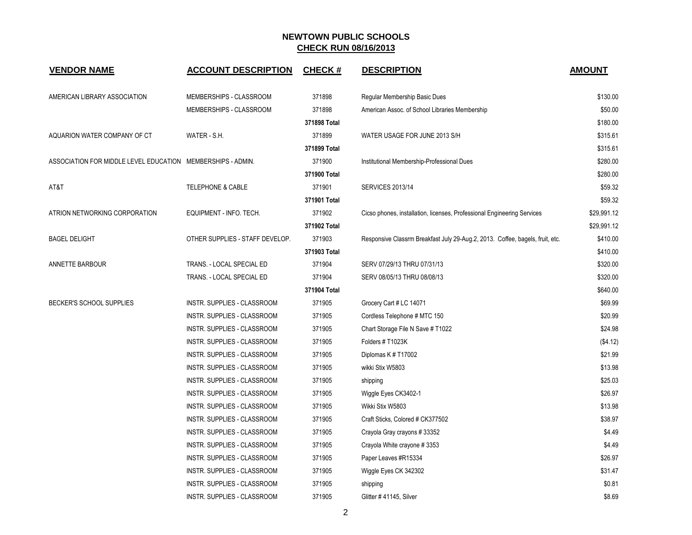| <b>VENDOR NAME</b>                                          | <b>ACCOUNT DESCRIPTION</b>      | <b>CHECK#</b> | <b>DESCRIPTION</b>                                                            | <b>AMOUNT</b> |
|-------------------------------------------------------------|---------------------------------|---------------|-------------------------------------------------------------------------------|---------------|
| AMERICAN LIBRARY ASSOCIATION                                | MEMBERSHIPS - CLASSROOM         | 371898        | Regular Membership Basic Dues                                                 | \$130.00      |
|                                                             | MEMBERSHIPS - CLASSROOM         | 371898        | American Assoc. of School Libraries Membership                                | \$50.00       |
|                                                             |                                 | 371898 Total  |                                                                               | \$180.00      |
| AQUARION WATER COMPANY OF CT                                | WATER - S.H.                    | 371899        | WATER USAGE FOR JUNE 2013 S/H                                                 | \$315.61      |
|                                                             |                                 | 371899 Total  |                                                                               | \$315.61      |
| ASSOCIATION FOR MIDDLE LEVEL EDUCATION MEMBERSHIPS - ADMIN. |                                 | 371900        | Institutional Membership-Professional Dues                                    | \$280.00      |
|                                                             |                                 | 371900 Total  |                                                                               | \$280.00      |
| AT&T                                                        | TELEPHONE & CABLE               | 371901        | <b>SERVICES 2013/14</b>                                                       | \$59.32       |
|                                                             |                                 | 371901 Total  |                                                                               | \$59.32       |
| ATRION NETWORKING CORPORATION                               | EQUIPMENT - INFO. TECH.         | 371902        | Cicso phones, installation, licenses, Professional Engineering Services       | \$29,991.12   |
|                                                             |                                 | 371902 Total  |                                                                               | \$29,991.12   |
| <b>BAGEL DELIGHT</b>                                        | OTHER SUPPLIES - STAFF DEVELOP. | 371903        | Responsive Classrm Breakfast July 29-Aug.2, 2013. Coffee, bagels, fruit, etc. | \$410.00      |
|                                                             |                                 | 371903 Total  |                                                                               | \$410.00      |
| <b>ANNETTE BARBOUR</b>                                      | TRANS. - LOCAL SPECIAL ED       | 371904        | SERV 07/29/13 THRU 07/31/13                                                   | \$320.00      |
|                                                             | TRANS. - LOCAL SPECIAL ED       | 371904        | SERV 08/05/13 THRU 08/08/13                                                   | \$320.00      |
|                                                             |                                 | 371904 Total  |                                                                               | \$640.00      |
| BECKER'S SCHOOL SUPPLIES                                    | INSTR. SUPPLIES - CLASSROOM     | 371905        | Grocery Cart # LC 14071                                                       | \$69.99       |
|                                                             | INSTR. SUPPLIES - CLASSROOM     | 371905        | Cordless Telephone # MTC 150                                                  | \$20.99       |
|                                                             | INSTR. SUPPLIES - CLASSROOM     | 371905        | Chart Storage File N Save # T1022                                             | \$24.98       |
|                                                             | INSTR. SUPPLIES - CLASSROOM     | 371905        | Folders # T1023K                                                              | (\$4.12)      |
|                                                             | INSTR. SUPPLIES - CLASSROOM     | 371905        | Diplomas K # T17002                                                           | \$21.99       |
|                                                             | INSTR. SUPPLIES - CLASSROOM     | 371905        | wikki Stix W5803                                                              | \$13.98       |
|                                                             | INSTR. SUPPLIES - CLASSROOM     | 371905        | shipping                                                                      | \$25.03       |
|                                                             | INSTR. SUPPLIES - CLASSROOM     | 371905        | Wiggle Eyes CK3402-1                                                          | \$26.97       |
|                                                             | INSTR. SUPPLIES - CLASSROOM     | 371905        | Wikki Stix W5803                                                              | \$13.98       |
|                                                             | INSTR. SUPPLIES - CLASSROOM     | 371905        | Craft Sticks, Colored # CK377502                                              | \$38.97       |
|                                                             | INSTR. SUPPLIES - CLASSROOM     | 371905        | Crayola Gray crayons #33352                                                   | \$4.49        |
|                                                             | INSTR. SUPPLIES - CLASSROOM     | 371905        | Crayola White crayone #3353                                                   | \$4.49        |
|                                                             | INSTR. SUPPLIES - CLASSROOM     | 371905        | Paper Leaves #R15334                                                          | \$26.97       |
|                                                             | INSTR. SUPPLIES - CLASSROOM     | 371905        | Wiggle Eyes CK 342302                                                         | \$31.47       |
|                                                             | INSTR. SUPPLIES - CLASSROOM     | 371905        | shipping                                                                      | \$0.81        |
|                                                             | INSTR. SUPPLIES - CLASSROOM     | 371905        | Glitter #41145, Silver                                                        | \$8.69        |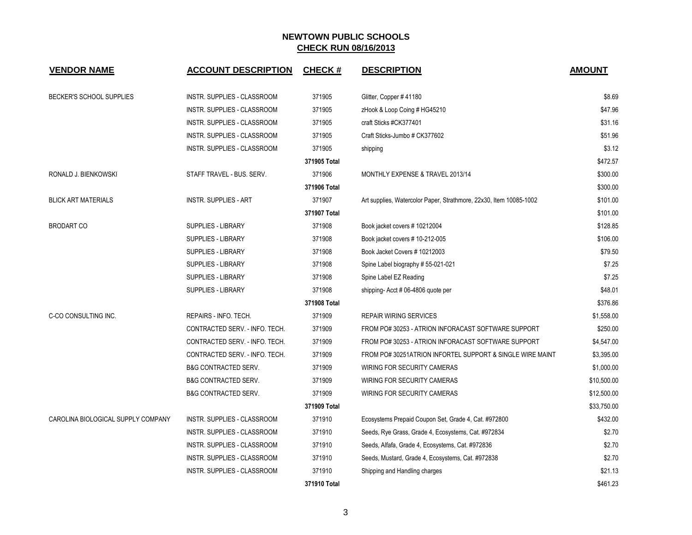| <b>VENDOR NAME</b>                 | <b>ACCOUNT DESCRIPTION</b>      | <b>CHECK#</b> | <b>DESCRIPTION</b>                                                 | <b>AMOUNT</b> |
|------------------------------------|---------------------------------|---------------|--------------------------------------------------------------------|---------------|
| BECKER'S SCHOOL SUPPLIES           | INSTR. SUPPLIES - CLASSROOM     | 371905        | Glitter, Copper # 41180                                            | \$8.69        |
|                                    | INSTR. SUPPLIES - CLASSROOM     | 371905        | zHook & Loop Coing # HG45210                                       | \$47.96       |
|                                    | INSTR. SUPPLIES - CLASSROOM     | 371905        | craft Sticks #CK377401                                             | \$31.16       |
|                                    | INSTR. SUPPLIES - CLASSROOM     | 371905        | Craft Sticks-Jumbo # CK377602                                      | \$51.96       |
|                                    | INSTR. SUPPLIES - CLASSROOM     | 371905        | shipping                                                           | \$3.12        |
|                                    |                                 | 371905 Total  |                                                                    | \$472.57      |
| RONALD J. BIENKOWSKI               | STAFF TRAVEL - BUS. SERV.       | 371906        | MONTHLY EXPENSE & TRAVEL 2013/14                                   | \$300.00      |
|                                    |                                 | 371906 Total  |                                                                    | \$300.00      |
| <b>BLICK ART MATERIALS</b>         | <b>INSTR. SUPPLIES - ART</b>    | 371907        | Art supplies, Watercolor Paper, Strathmore, 22x30, Item 10085-1002 | \$101.00      |
|                                    |                                 | 371907 Total  |                                                                    | \$101.00      |
| <b>BRODART CO</b>                  | SUPPLIES - LIBRARY              | 371908        | Book jacket covers #10212004                                       | \$128.85      |
|                                    | <b>SUPPLIES - LIBRARY</b>       | 371908        | Book jacket covers #10-212-005                                     | \$106.00      |
|                                    | SUPPLIES - LIBRARY              | 371908        | Book Jacket Covers # 10212003                                      | \$79.50       |
|                                    | SUPPLIES - LIBRARY              | 371908        | Spine Label biography # 55-021-021                                 | \$7.25        |
|                                    | SUPPLIES - LIBRARY              | 371908        | Spine Label EZ Reading                                             | \$7.25        |
|                                    | SUPPLIES - LIBRARY              | 371908        | shipping-Acct # 06-4806 quote per                                  | \$48.01       |
|                                    |                                 | 371908 Total  |                                                                    | \$376.86      |
| C-CO CONSULTING INC.               | REPAIRS - INFO. TECH.           | 371909        | <b>REPAIR WIRING SERVICES</b>                                      | \$1,558.00    |
|                                    | CONTRACTED SERV. - INFO. TECH.  | 371909        | FROM PO# 30253 - ATRION INFORACAST SOFTWARE SUPPORT                | \$250.00      |
|                                    | CONTRACTED SERV. - INFO. TECH.  | 371909        | FROM PO# 30253 - ATRION INFORACAST SOFTWARE SUPPORT                | \$4,547.00    |
|                                    | CONTRACTED SERV. - INFO. TECH.  | 371909        | FROM PO# 30251ATRION INFORTEL SUPPORT & SINGLE WIRE MAINT          | \$3,395.00    |
|                                    | <b>B&amp;G CONTRACTED SERV.</b> | 371909        | WIRING FOR SECURITY CAMERAS                                        | \$1,000.00    |
|                                    | <b>B&amp;G CONTRACTED SERV.</b> | 371909        | WIRING FOR SECURITY CAMERAS                                        | \$10,500.00   |
|                                    | <b>B&amp;G CONTRACTED SERV.</b> | 371909        | WIRING FOR SECURITY CAMERAS                                        | \$12,500.00   |
|                                    |                                 | 371909 Total  |                                                                    | \$33,750.00   |
| CAROLINA BIOLOGICAL SUPPLY COMPANY | INSTR. SUPPLIES - CLASSROOM     | 371910        | Ecosystems Prepaid Coupon Set, Grade 4, Cat. #972800               | \$432.00      |
|                                    | INSTR. SUPPLIES - CLASSROOM     | 371910        | Seeds, Rye Grass, Grade 4, Ecosystems, Cat. #972834                | \$2.70        |
|                                    | INSTR. SUPPLIES - CLASSROOM     | 371910        | Seeds, Alfafa, Grade 4, Ecosystems, Cat. #972836                   | \$2.70        |
|                                    | INSTR. SUPPLIES - CLASSROOM     | 371910        | Seeds, Mustard, Grade 4, Ecosystems, Cat. #972838                  | \$2.70        |
|                                    | INSTR. SUPPLIES - CLASSROOM     | 371910        | Shipping and Handling charges                                      | \$21.13       |
|                                    |                                 | 371910 Total  |                                                                    | \$461.23      |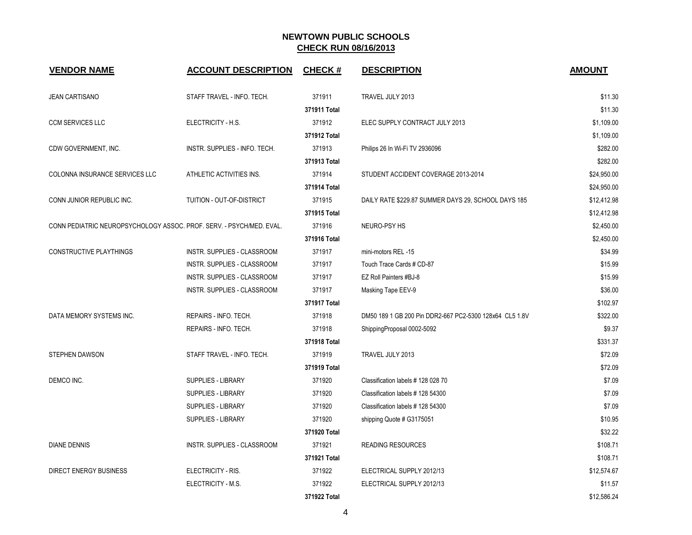| <b>VENDOR NAME</b>                                                   | <b>ACCOUNT DESCRIPTION</b>    | <b>CHECK#</b> | <b>DESCRIPTION</b>                                      | <b>AMOUNT</b> |
|----------------------------------------------------------------------|-------------------------------|---------------|---------------------------------------------------------|---------------|
| <b>JEAN CARTISANO</b>                                                | STAFF TRAVEL - INFO. TECH.    | 371911        | TRAVEL JULY 2013                                        | \$11.30       |
|                                                                      |                               | 371911 Total  |                                                         | \$11.30       |
| <b>CCM SERVICES LLC</b>                                              | ELECTRICITY - H.S.            | 371912        | ELEC SUPPLY CONTRACT JULY 2013                          | \$1,109.00    |
|                                                                      |                               | 371912 Total  |                                                         | \$1,109.00    |
| CDW GOVERNMENT, INC.                                                 | INSTR. SUPPLIES - INFO. TECH. | 371913        | Philips 26 In Wi-Fi TV 2936096                          | \$282.00      |
|                                                                      |                               | 371913 Total  |                                                         | \$282.00      |
| COLONNA INSURANCE SERVICES LLC                                       | ATHLETIC ACTIVITIES INS.      | 371914        | STUDENT ACCIDENT COVERAGE 2013-2014                     | \$24,950.00   |
|                                                                      |                               | 371914 Total  |                                                         | \$24,950.00   |
| CONN JUNIOR REPUBLIC INC.                                            | TUITION - OUT-OF-DISTRICT     | 371915        | DAILY RATE \$229.87 SUMMER DAYS 29, SCHOOL DAYS 185     | \$12,412.98   |
|                                                                      |                               | 371915 Total  |                                                         | \$12,412.98   |
| CONN PEDIATRIC NEUROPSYCHOLOGY ASSOC. PROF. SERV. - PSYCH/MED. EVAL. |                               | 371916        | NEURO-PSY HS                                            | \$2,450.00    |
|                                                                      |                               | 371916 Total  |                                                         | \$2,450.00    |
| <b>CONSTRUCTIVE PLAYTHINGS</b>                                       | INSTR. SUPPLIES - CLASSROOM   | 371917        | mini-motors REL -15                                     | \$34.99       |
|                                                                      | INSTR. SUPPLIES - CLASSROOM   | 371917        | Touch Trace Cards # CD-87                               | \$15.99       |
|                                                                      | INSTR. SUPPLIES - CLASSROOM   | 371917        | EZ Roll Painters #BJ-8                                  | \$15.99       |
|                                                                      | INSTR. SUPPLIES - CLASSROOM   | 371917        | Masking Tape EEV-9                                      | \$36.00       |
|                                                                      |                               | 371917 Total  |                                                         | \$102.97      |
| DATA MEMORY SYSTEMS INC.                                             | REPAIRS - INFO. TECH.         | 371918        | DM50 189 1 GB 200 Pin DDR2-667 PC2-5300 128x64 CL5 1.8V | \$322.00      |
|                                                                      | REPAIRS - INFO. TECH.         | 371918        | ShippingProposal 0002-5092                              | \$9.37        |
|                                                                      |                               | 371918 Total  |                                                         | \$331.37      |
| <b>STEPHEN DAWSON</b>                                                | STAFF TRAVEL - INFO. TECH.    | 371919        | TRAVEL JULY 2013                                        | \$72.09       |
|                                                                      |                               | 371919 Total  |                                                         | \$72.09       |
| DEMCO INC.                                                           | SUPPLIES - LIBRARY            | 371920        | Classification labels #128 028 70                       | \$7.09        |
|                                                                      | SUPPLIES - LIBRARY            | 371920        | Classification labels #128 54300                        | \$7.09        |
|                                                                      | SUPPLIES - LIBRARY            | 371920        | Classification labels #128 54300                        | \$7.09        |
|                                                                      | SUPPLIES - LIBRARY            | 371920        | shipping Quote # G3175051                               | \$10.95       |
|                                                                      |                               | 371920 Total  |                                                         | \$32.22       |
| <b>DIANE DENNIS</b>                                                  | INSTR. SUPPLIES - CLASSROOM   | 371921        | <b>READING RESOURCES</b>                                | \$108.71      |
|                                                                      |                               | 371921 Total  |                                                         | \$108.71      |
| <b>DIRECT ENERGY BUSINESS</b>                                        | ELECTRICITY - RIS.            | 371922        | ELECTRICAL SUPPLY 2012/13                               | \$12,574.67   |
|                                                                      | ELECTRICITY - M.S.            | 371922        | ELECTRICAL SUPPLY 2012/13                               | \$11.57       |
|                                                                      |                               | 371922 Total  |                                                         | \$12,586.24   |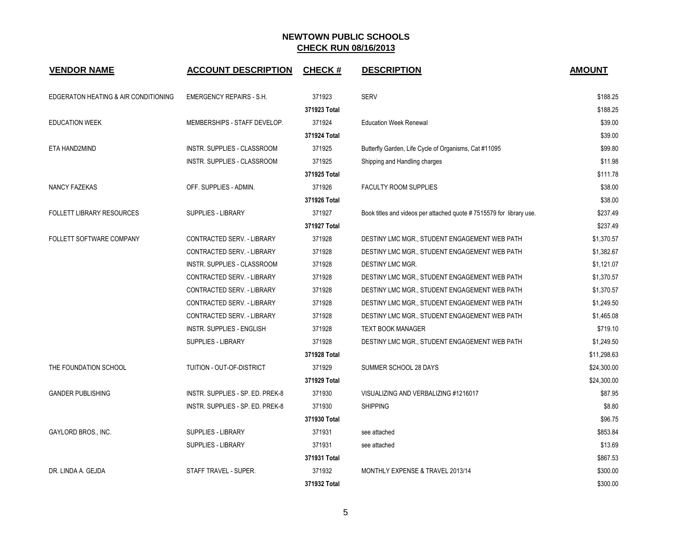| <b>VENDOR NAME</b>                   | <b>ACCOUNT DESCRIPTION</b>        | <b>CHECK#</b> | <b>DESCRIPTION</b>                                                  | <b>AMOUNT</b> |
|--------------------------------------|-----------------------------------|---------------|---------------------------------------------------------------------|---------------|
| EDGERATON HEATING & AIR CONDITIONING | <b>EMERGENCY REPAIRS - S.H.</b>   | 371923        | <b>SERV</b>                                                         | \$188.25      |
|                                      |                                   | 371923 Total  |                                                                     | \$188.25      |
| <b>EDUCATION WEEK</b>                | MEMBERSHIPS - STAFF DEVELOP.      | 371924        | <b>Education Week Renewal</b>                                       | \$39.00       |
|                                      |                                   | 371924 Total  |                                                                     | \$39.00       |
| ETA HAND2MIND                        | INSTR. SUPPLIES - CLASSROOM       | 371925        | Butterfly Garden, Life Cycle of Organisms, Cat #11095               | \$99.80       |
|                                      | INSTR. SUPPLIES - CLASSROOM       | 371925        | Shipping and Handling charges                                       | \$11.98       |
|                                      |                                   | 371925 Total  |                                                                     | \$111.78      |
| <b>NANCY FAZEKAS</b>                 | OFF. SUPPLIES - ADMIN.            | 371926        | <b>FACULTY ROOM SUPPLIES</b>                                        | \$38.00       |
|                                      |                                   | 371926 Total  |                                                                     | \$38.00       |
| <b>FOLLETT LIBRARY RESOURCES</b>     | <b>SUPPLIES - LIBRARY</b>         | 371927        | Book titles and videos per attached quote #7515579 for library use. | \$237.49      |
|                                      |                                   | 371927 Total  |                                                                     | \$237.49      |
| FOLLETT SOFTWARE COMPANY             | CONTRACTED SERV. - LIBRARY        | 371928        | DESTINY LMC MGR., STUDENT ENGAGEMENT WEB PATH                       | \$1,370.57    |
|                                      | CONTRACTED SERV. - LIBRARY        | 371928        | DESTINY LMC MGR., STUDENT ENGAGEMENT WEB PATH                       | \$1,382.67    |
|                                      | INSTR. SUPPLIES - CLASSROOM       | 371928        | DESTINY LMC MGR.                                                    | \$1,121.07    |
|                                      | CONTRACTED SERV. - LIBRARY        | 371928        | DESTINY LMC MGR., STUDENT ENGAGEMENT WEB PATH                       | \$1,370.57    |
|                                      | CONTRACTED SERV. - LIBRARY        | 371928        | DESTINY LMC MGR., STUDENT ENGAGEMENT WEB PATH                       | \$1,370.57    |
|                                      | CONTRACTED SERV. - LIBRARY        | 371928        | DESTINY LMC MGR., STUDENT ENGAGEMENT WEB PATH                       | \$1,249.50    |
|                                      | <b>CONTRACTED SERV. - LIBRARY</b> | 371928        | DESTINY LMC MGR., STUDENT ENGAGEMENT WEB PATH                       | \$1,465.08    |
|                                      | INSTR. SUPPLIES - ENGLISH         | 371928        | <b>TEXT BOOK MANAGER</b>                                            | \$719.10      |
|                                      | SUPPLIES - LIBRARY                | 371928        | DESTINY LMC MGR., STUDENT ENGAGEMENT WEB PATH                       | \$1,249.50    |
|                                      |                                   | 371928 Total  |                                                                     | \$11,298.63   |
| THE FOUNDATION SCHOOL                | TUITION - OUT-OF-DISTRICT         | 371929        | SUMMER SCHOOL 28 DAYS                                               | \$24,300.00   |
|                                      |                                   | 371929 Total  |                                                                     | \$24,300.00   |
| <b>GANDER PUBLISHING</b>             | INSTR. SUPPLIES - SP. ED. PREK-8  | 371930        | VISUALIZING AND VERBALIZING #1216017                                | \$87.95       |
|                                      | INSTR. SUPPLIES - SP. ED. PREK-8  | 371930        | <b>SHIPPING</b>                                                     | \$8.80        |
|                                      |                                   | 371930 Total  |                                                                     | \$96.75       |
| GAYLORD BROS., INC.                  | <b>SUPPLIES - LIBRARY</b>         | 371931        | see attached                                                        | \$853.84      |
|                                      | <b>SUPPLIES - LIBRARY</b>         | 371931        | see attached                                                        | \$13.69       |
|                                      |                                   | 371931 Total  |                                                                     | \$867.53      |
| DR. LINDA A. GEJDA                   | STAFF TRAVEL - SUPER.             | 371932        | MONTHLY EXPENSE & TRAVEL 2013/14                                    | \$300.00      |
|                                      |                                   | 371932 Total  |                                                                     | \$300.00      |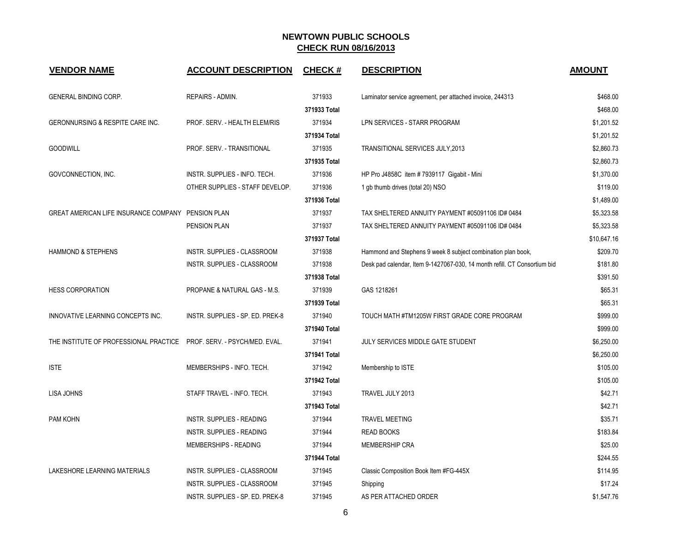| <b>VENDOR NAME</b>                                                    | <b>ACCOUNT DESCRIPTION</b>       | <b>CHECK#</b> | <b>DESCRIPTION</b>                                                        | <b>AMOUNT</b> |
|-----------------------------------------------------------------------|----------------------------------|---------------|---------------------------------------------------------------------------|---------------|
| GENERAL BINDING CORP.                                                 | REPAIRS - ADMIN.                 | 371933        | Laminator service agreement, per attached invoice, 244313                 | \$468.00      |
|                                                                       |                                  | 371933 Total  |                                                                           | \$468.00      |
| GERONNURSING & RESPITE CARE INC.                                      | PROF. SERV. - HEALTH ELEM/RIS    | 371934        | LPN SERVICES - STARR PROGRAM                                              | \$1,201.52    |
|                                                                       |                                  | 371934 Total  |                                                                           | \$1,201.52    |
| <b>GOODWILL</b>                                                       | PROF. SERV. - TRANSITIONAL       | 371935        | TRANSITIONAL SERVICES JULY, 2013                                          | \$2,860.73    |
|                                                                       |                                  | 371935 Total  |                                                                           | \$2,860.73    |
| GOVCONNECTION, INC.                                                   | INSTR. SUPPLIES - INFO. TECH.    | 371936        | HP Pro J4858C item # 7939117 Gigabit - Mini                               | \$1,370.00    |
|                                                                       | OTHER SUPPLIES - STAFF DEVELOP.  | 371936        | 1 gb thumb drives (total 20) NSO                                          | \$119.00      |
|                                                                       |                                  | 371936 Total  |                                                                           | \$1,489.00    |
| GREAT AMERICAN LIFE INSURANCE COMPANY PENSION PLAN                    |                                  | 371937        | TAX SHELTERED ANNUITY PAYMENT #05091106 ID# 0484                          | \$5,323.58    |
|                                                                       | PENSION PLAN                     | 371937        | TAX SHELTERED ANNUITY PAYMENT #05091106 ID# 0484                          | \$5,323.58    |
|                                                                       |                                  | 371937 Total  |                                                                           | \$10,647.16   |
| HAMMOND & STEPHENS                                                    | INSTR. SUPPLIES - CLASSROOM      | 371938        | Hammond and Stephens 9 week 8 subject combination plan book,              | \$209.70      |
|                                                                       | INSTR. SUPPLIES - CLASSROOM      | 371938        | Desk pad calendar, Item 9-1427067-030, 14 month refill. CT Consortium bid | \$181.80      |
|                                                                       |                                  | 371938 Total  |                                                                           | \$391.50      |
| <b>HESS CORPORATION</b>                                               | PROPANE & NATURAL GAS - M.S.     | 371939        | GAS 1218261                                                               | \$65.31       |
|                                                                       |                                  | 371939 Total  |                                                                           | \$65.31       |
| INNOVATIVE LEARNING CONCEPTS INC.                                     | INSTR. SUPPLIES - SP. ED. PREK-8 | 371940        | TOUCH MATH #TM1205W FIRST GRADE CORE PROGRAM                              | \$999.00      |
|                                                                       |                                  | 371940 Total  |                                                                           | \$999.00      |
| THE INSTITUTE OF PROFESSIONAL PRACTICE PROF. SERV. - PSYCH/MED. EVAL. |                                  | 371941        | JULY SERVICES MIDDLE GATE STUDENT                                         | \$6,250.00    |
|                                                                       |                                  | 371941 Total  |                                                                           | \$6,250.00    |
| <b>ISTE</b>                                                           | MEMBERSHIPS - INFO. TECH.        | 371942        | Membership to ISTE                                                        | \$105.00      |
|                                                                       |                                  | 371942 Total  |                                                                           | \$105.00      |
| <b>LISA JOHNS</b>                                                     | STAFF TRAVEL - INFO. TECH.       | 371943        | TRAVEL JULY 2013                                                          | \$42.71       |
|                                                                       |                                  | 371943 Total  |                                                                           | \$42.71       |
| PAM KOHN                                                              | INSTR. SUPPLIES - READING        | 371944        | <b>TRAVEL MEETING</b>                                                     | \$35.71       |
|                                                                       | <b>INSTR. SUPPLIES - READING</b> | 371944        | <b>READ BOOKS</b>                                                         | \$183.84      |
|                                                                       | MEMBERSHIPS - READING            | 371944        | <b>MEMBERSHIP CRA</b>                                                     | \$25.00       |
|                                                                       |                                  | 371944 Total  |                                                                           | \$244.55      |
| LAKESHORE LEARNING MATERIALS                                          | INSTR. SUPPLIES - CLASSROOM      | 371945        | Classic Composition Book Item #FG-445X                                    | \$114.95      |
|                                                                       | INSTR. SUPPLIES - CLASSROOM      | 371945        | Shipping                                                                  | \$17.24       |
|                                                                       | INSTR. SUPPLIES - SP. ED. PREK-8 | 371945        | AS PER ATTACHED ORDER                                                     | \$1,547.76    |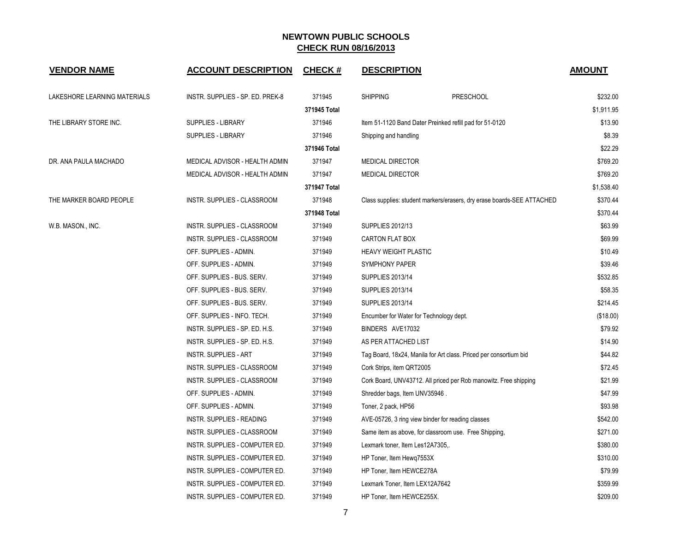| <b>VENDOR NAME</b>           | <b>ACCOUNT DESCRIPTION</b>       | <b>CHECK#</b> | <b>DESCRIPTION</b>                      |                                                                        | <b>AMOUNT</b> |
|------------------------------|----------------------------------|---------------|-----------------------------------------|------------------------------------------------------------------------|---------------|
| LAKESHORE LEARNING MATERIALS | INSTR. SUPPLIES - SP. ED. PREK-8 | 371945        | <b>SHIPPING</b>                         | <b>PRESCHOOL</b>                                                       | \$232.00      |
|                              |                                  | 371945 Total  |                                         |                                                                        | \$1,911.95    |
| THE LIBRARY STORE INC.       | SUPPLIES - LIBRARY               | 371946        |                                         | Item 51-1120 Band Dater Preinked refill pad for 51-0120                | \$13.90       |
|                              | <b>SUPPLIES - LIBRARY</b>        | 371946        | Shipping and handling                   |                                                                        | \$8.39        |
|                              |                                  | 371946 Total  |                                         |                                                                        | \$22.29       |
| DR. ANA PAULA MACHADO        | MEDICAL ADVISOR - HEALTH ADMIN   | 371947        | <b>MEDICAL DIRECTOR</b>                 |                                                                        | \$769.20      |
|                              | MEDICAL ADVISOR - HEALTH ADMIN   | 371947        | <b>MEDICAL DIRECTOR</b>                 |                                                                        | \$769.20      |
|                              |                                  | 371947 Total  |                                         |                                                                        | \$1,538.40    |
| THE MARKER BOARD PEOPLE      | INSTR. SUPPLIES - CLASSROOM      | 371948        |                                         | Class supplies: student markers/erasers, dry erase boards-SEE ATTACHED | \$370.44      |
|                              |                                  | 371948 Total  |                                         |                                                                        | \$370.44      |
| W.B. MASON., INC.            | INSTR. SUPPLIES - CLASSROOM      | 371949        | <b>SUPPLIES 2012/13</b>                 |                                                                        | \$63.99       |
|                              | INSTR. SUPPLIES - CLASSROOM      | 371949        | <b>CARTON FLAT BOX</b>                  |                                                                        | \$69.99       |
|                              | OFF. SUPPLIES - ADMIN.           | 371949        | <b>HEAVY WEIGHT PLASTIC</b>             |                                                                        | \$10.49       |
|                              | OFF. SUPPLIES - ADMIN.           | 371949        | <b>SYMPHONY PAPER</b>                   |                                                                        | \$39.46       |
|                              | OFF. SUPPLIES - BUS. SERV.       | 371949        | <b>SUPPLIES 2013/14</b>                 |                                                                        | \$532.85      |
|                              | OFF. SUPPLIES - BUS. SERV.       | 371949        | <b>SUPPLIES 2013/14</b>                 |                                                                        | \$58.35       |
|                              | OFF. SUPPLIES - BUS. SERV.       | 371949        | <b>SUPPLIES 2013/14</b>                 |                                                                        | \$214.45      |
|                              | OFF. SUPPLIES - INFO. TECH.      | 371949        | Encumber for Water for Technology dept. |                                                                        | (\$18.00)     |
|                              | INSTR. SUPPLIES - SP. ED. H.S.   | 371949        | BINDERS AVE17032                        |                                                                        | \$79.92       |
|                              | INSTR. SUPPLIES - SP. ED. H.S.   | 371949        | AS PER ATTACHED LIST                    |                                                                        | \$14.90       |
|                              | <b>INSTR. SUPPLIES - ART</b>     | 371949        |                                         | Tag Board, 18x24, Manila for Art class. Priced per consortium bid      | \$44.82       |
|                              | INSTR. SUPPLIES - CLASSROOM      | 371949        | Cork Strips, item QRT2005               |                                                                        | \$72.45       |
|                              | INSTR. SUPPLIES - CLASSROOM      | 371949        |                                         | Cork Board, UNV43712. All priced per Rob manowitz. Free shipping       | \$21.99       |
|                              | OFF. SUPPLIES - ADMIN.           | 371949        | Shredder bags, Item UNV35946.           |                                                                        | \$47.99       |
|                              | OFF. SUPPLIES - ADMIN.           | 371949        | Toner, 2 pack, HP56                     |                                                                        | \$93.98       |
|                              | INSTR. SUPPLIES - READING        | 371949        |                                         | AVE-05726, 3 ring view binder for reading classes                      | \$542.00      |
|                              | INSTR. SUPPLIES - CLASSROOM      | 371949        |                                         | Same item as above, for classroom use. Free Shipping,                  | \$271.00      |
|                              | INSTR. SUPPLIES - COMPUTER ED.   | 371949        | Lexmark toner, Item Les12A7305,.        |                                                                        | \$380.00      |
|                              | INSTR. SUPPLIES - COMPUTER ED.   | 371949        | HP Toner, Item Hewq7553X                |                                                                        | \$310.00      |
|                              | INSTR. SUPPLIES - COMPUTER ED.   | 371949        | HP Toner, Item HEWCE278A                |                                                                        | \$79.99       |
|                              | INSTR. SUPPLIES - COMPUTER ED.   | 371949        | Lexmark Toner, Item LEX12A7642          |                                                                        | \$359.99      |
|                              | INSTR. SUPPLIES - COMPUTER ED.   | 371949        | HP Toner, Item HEWCE255X.               |                                                                        | \$209.00      |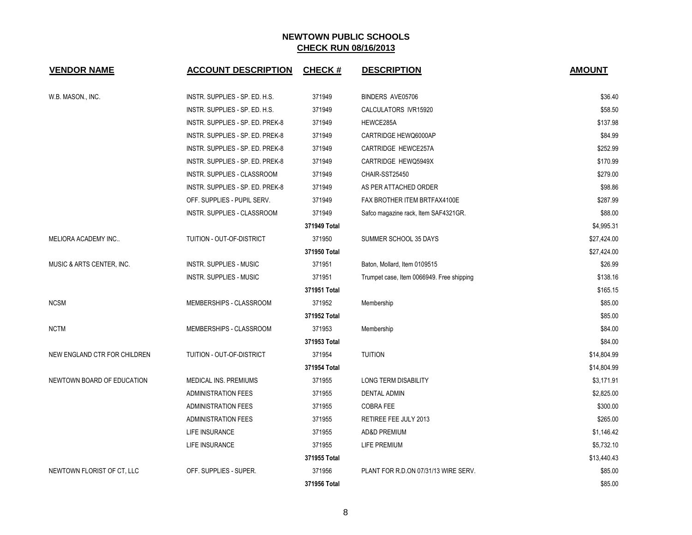| <b>VENDOR NAME</b>           | <b>ACCOUNT DESCRIPTION</b>         | <b>CHECK#</b> | <b>DESCRIPTION</b>                        | <b>AMOUNT</b> |
|------------------------------|------------------------------------|---------------|-------------------------------------------|---------------|
| W.B. MASON., INC.            | INSTR. SUPPLIES - SP. ED. H.S.     | 371949        | BINDERS AVE05706                          | \$36.40       |
|                              | INSTR. SUPPLIES - SP. ED. H.S.     | 371949        | CALCULATORS IVR15920                      | \$58.50       |
|                              | INSTR. SUPPLIES - SP. ED. PREK-8   | 371949        | HEWCE285A                                 | \$137.98      |
|                              | INSTR. SUPPLIES - SP. ED. PREK-8   | 371949        | CARTRIDGE HEWQ6000AP                      | \$84.99       |
|                              | INSTR. SUPPLIES - SP. ED. PREK-8   | 371949        | CARTRIDGE HEWCE257A                       | \$252.99      |
|                              | INSTR. SUPPLIES - SP. ED. PREK-8   | 371949        | CARTRIDGE HEWQ5949X                       | \$170.99      |
|                              | INSTR. SUPPLIES - CLASSROOM        | 371949        | CHAIR-SST25450                            | \$279.00      |
|                              | INSTR. SUPPLIES - SP. ED. PREK-8   | 371949        | AS PER ATTACHED ORDER                     | \$98.86       |
|                              | OFF. SUPPLIES - PUPIL SERV.        | 371949        | FAX BROTHER ITEM BRTFAX4100E              | \$287.99      |
|                              | <b>INSTR. SUPPLIES - CLASSROOM</b> | 371949        | Safco magazine rack, Item SAF4321GR.      | \$88.00       |
|                              |                                    | 371949 Total  |                                           | \$4,995.31    |
| MELIORA ACADEMY INC          | TUITION - OUT-OF-DISTRICT          | 371950        | SUMMER SCHOOL 35 DAYS                     | \$27,424.00   |
|                              |                                    | 371950 Total  |                                           | \$27,424.00   |
| MUSIC & ARTS CENTER, INC.    | <b>INSTR. SUPPLIES - MUSIC</b>     | 371951        | Baton, Mollard, Item 0109515              | \$26.99       |
|                              | INSTR. SUPPLIES - MUSIC            | 371951        | Trumpet case, Item 0066949. Free shipping | \$138.16      |
|                              |                                    | 371951 Total  |                                           | \$165.15      |
| <b>NCSM</b>                  | MEMBERSHIPS - CLASSROOM            | 371952        | Membership                                | \$85.00       |
|                              |                                    | 371952 Total  |                                           | \$85.00       |
| <b>NCTM</b>                  | MEMBERSHIPS - CLASSROOM            | 371953        | Membership                                | \$84.00       |
|                              |                                    | 371953 Total  |                                           | \$84.00       |
| NEW ENGLAND CTR FOR CHILDREN | TUITION - OUT-OF-DISTRICT          | 371954        | <b>TUITION</b>                            | \$14,804.99   |
|                              |                                    | 371954 Total  |                                           | \$14,804.99   |
| NEWTOWN BOARD OF EDUCATION   | MEDICAL INS. PREMIUMS              | 371955        | LONG TERM DISABILITY                      | \$3,171.91    |
|                              | <b>ADMINISTRATION FEES</b>         | 371955        | <b>DENTAL ADMIN</b>                       | \$2,825.00    |
|                              | <b>ADMINISTRATION FEES</b>         | 371955        | <b>COBRA FEE</b>                          | \$300.00      |
|                              | <b>ADMINISTRATION FEES</b>         | 371955        | RETIREE FEE JULY 2013                     | \$265.00      |
|                              | LIFE INSURANCE                     | 371955        | <b>AD&amp;D PREMIUM</b>                   | \$1,146.42    |
|                              | LIFE INSURANCE                     | 371955        | LIFE PREMIUM                              | \$5,732.10    |
|                              |                                    | 371955 Total  |                                           | \$13,440.43   |
| NEWTOWN FLORIST OF CT, LLC   | OFF. SUPPLIES - SUPER.             | 371956        | PLANT FOR R.D.ON 07/31/13 WIRE SERV.      | \$85.00       |
|                              |                                    | 371956 Total  |                                           | \$85.00       |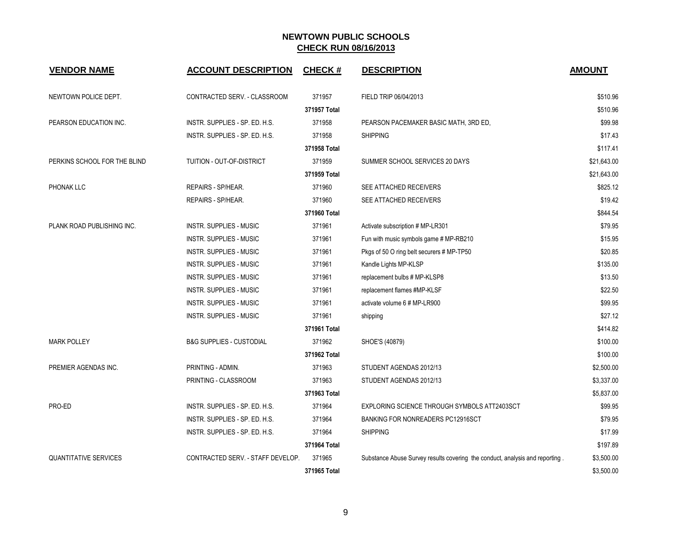| <b>VENDOR NAME</b>           | <b>ACCOUNT DESCRIPTION</b>          | <b>CHECK#</b> | <b>DESCRIPTION</b>                                                           | <b>AMOUNT</b> |
|------------------------------|-------------------------------------|---------------|------------------------------------------------------------------------------|---------------|
| NEWTOWN POLICE DEPT.         | CONTRACTED SERV. - CLASSROOM        | 371957        | FIELD TRIP 06/04/2013                                                        | \$510.96      |
|                              |                                     | 371957 Total  |                                                                              | \$510.96      |
| PEARSON EDUCATION INC.       | INSTR. SUPPLIES - SP. ED. H.S.      | 371958        | PEARSON PACEMAKER BASIC MATH, 3RD ED,                                        | \$99.98       |
|                              | INSTR. SUPPLIES - SP. ED. H.S.      | 371958        | <b>SHIPPING</b>                                                              | \$17.43       |
|                              |                                     | 371958 Total  |                                                                              | \$117.41      |
| PERKINS SCHOOL FOR THE BLIND | TUITION - OUT-OF-DISTRICT           | 371959        | SUMMER SCHOOL SERVICES 20 DAYS                                               | \$21,643.00   |
|                              |                                     | 371959 Total  |                                                                              | \$21,643.00   |
| PHONAK LLC                   | REPAIRS - SP/HEAR.                  | 371960        | SEE ATTACHED RECEIVERS                                                       | \$825.12      |
|                              | REPAIRS - SP/HEAR.                  | 371960        | SEE ATTACHED RECEIVERS                                                       | \$19.42       |
|                              |                                     | 371960 Total  |                                                                              | \$844.54      |
| PLANK ROAD PUBLISHING INC.   | INSTR. SUPPLIES - MUSIC             | 371961        | Activate subscription # MP-LR301                                             | \$79.95       |
|                              | INSTR. SUPPLIES - MUSIC             | 371961        | Fun with music symbols game # MP-RB210                                       | \$15.95       |
|                              | INSTR. SUPPLIES - MUSIC             | 371961        | Pkgs of 50 O ring belt securers # MP-TP50                                    | \$20.85       |
|                              | INSTR. SUPPLIES - MUSIC             | 371961        | Kandle Lights MP-KLSP                                                        | \$135.00      |
|                              | INSTR. SUPPLIES - MUSIC             | 371961        | replacement bulbs # MP-KLSP8                                                 | \$13.50       |
|                              | INSTR. SUPPLIES - MUSIC             | 371961        | replacement flames #MP-KLSF                                                  | \$22.50       |
|                              | <b>INSTR. SUPPLIES - MUSIC</b>      | 371961        | activate volume 6 # MP-LR900                                                 | \$99.95       |
|                              | <b>INSTR. SUPPLIES - MUSIC</b>      | 371961        | shipping                                                                     | \$27.12       |
|                              |                                     | 371961 Total  |                                                                              | \$414.82      |
| <b>MARK POLLEY</b>           | <b>B&amp;G SUPPLIES - CUSTODIAL</b> | 371962        | SHOE'S (40879)                                                               | \$100.00      |
|                              |                                     | 371962 Total  |                                                                              | \$100.00      |
| PREMIER AGENDAS INC.         | PRINTING - ADMIN.                   | 371963        | STUDENT AGENDAS 2012/13                                                      | \$2,500.00    |
|                              | PRINTING - CLASSROOM                | 371963        | STUDENT AGENDAS 2012/13                                                      | \$3,337.00    |
|                              |                                     | 371963 Total  |                                                                              | \$5,837.00    |
| PRO-ED                       | INSTR. SUPPLIES - SP. ED. H.S.      | 371964        | EXPLORING SCIENCE THROUGH SYMBOLS ATT2403SCT                                 | \$99.95       |
|                              | INSTR. SUPPLIES - SP. ED. H.S.      | 371964        | <b>BANKING FOR NONREADERS PC12916SCT</b>                                     | \$79.95       |
|                              | INSTR. SUPPLIES - SP. ED. H.S.      | 371964        | <b>SHIPPING</b>                                                              | \$17.99       |
|                              |                                     | 371964 Total  |                                                                              | \$197.89      |
| <b>QUANTITATIVE SERVICES</b> | CONTRACTED SERV. - STAFF DEVELOP.   | 371965        | Substance Abuse Survey results covering the conduct, analysis and reporting. | \$3,500.00    |
|                              |                                     | 371965 Total  |                                                                              | \$3,500.00    |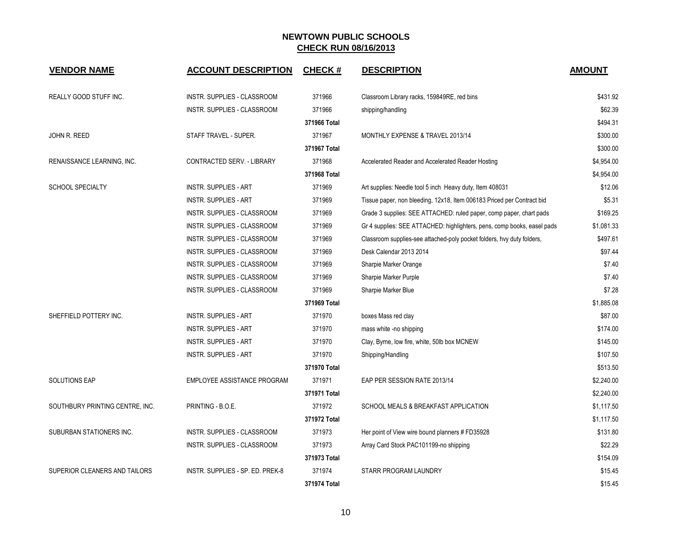| <b>VENDOR NAME</b>              | <b>ACCOUNT DESCRIPTION</b>       | <b>CHECK#</b> | <b>DESCRIPTION</b>                                                      | <b>AMOUNT</b> |
|---------------------------------|----------------------------------|---------------|-------------------------------------------------------------------------|---------------|
| REALLY GOOD STUFF INC.          | INSTR. SUPPLIES - CLASSROOM      | 371966        | Classroom Library racks, 159849RE, red bins                             | \$431.92      |
|                                 | INSTR. SUPPLIES - CLASSROOM      | 371966        | shipping/handling                                                       | \$62.39       |
|                                 |                                  | 371966 Total  |                                                                         | \$494.31      |
| JOHN R. REED                    | STAFF TRAVEL - SUPER.            | 371967        | MONTHLY EXPENSE & TRAVEL 2013/14                                        | \$300.00      |
|                                 |                                  | 371967 Total  |                                                                         | \$300.00      |
| RENAISSANCE LEARNING, INC.      | CONTRACTED SERV. - LIBRARY       | 371968        | Accelerated Reader and Accelerated Reader Hosting                       | \$4,954.00    |
|                                 |                                  | 371968 Total  |                                                                         | \$4,954.00    |
| <b>SCHOOL SPECIALTY</b>         | <b>INSTR. SUPPLIES - ART</b>     | 371969        | Art supplies: Needle tool 5 inch Heavy duty, Item 408031                | \$12.06       |
|                                 | <b>INSTR. SUPPLIES - ART</b>     | 371969        | Tissue paper, non bleeding, 12x18, Item 006183 Priced per Contract bid  | \$5.31        |
|                                 | INSTR. SUPPLIES - CLASSROOM      | 371969        | Grade 3 supplies: SEE ATTACHED: ruled paper, comp paper, chart pads     | \$169.25      |
|                                 | INSTR. SUPPLIES - CLASSROOM      | 371969        | Gr 4 supplies: SEE ATTACHED: highlighters, pens, comp books, easel pads | \$1,081.33    |
|                                 | INSTR. SUPPLIES - CLASSROOM      | 371969        | Classroom supplies-see attached-poly pocket folders, hvy duty folders,  | \$497.61      |
|                                 | INSTR. SUPPLIES - CLASSROOM      | 371969        | Desk Calendar 2013 2014                                                 | \$97.44       |
|                                 | INSTR. SUPPLIES - CLASSROOM      | 371969        | Sharpie Marker Orange                                                   | \$7.40        |
|                                 | INSTR. SUPPLIES - CLASSROOM      | 371969        | Sharpie Marker Purple                                                   | \$7.40        |
|                                 | INSTR. SUPPLIES - CLASSROOM      | 371969        | Sharpie Marker Blue                                                     | \$7.28        |
|                                 |                                  | 371969 Total  |                                                                         | \$1,885.08    |
| SHEFFIELD POTTERY INC.          | <b>INSTR. SUPPLIES - ART</b>     | 371970        | boxes Mass red clay                                                     | \$87.00       |
|                                 | <b>INSTR. SUPPLIES - ART</b>     | 371970        | mass white -no shipping                                                 | \$174.00      |
|                                 | <b>INSTR. SUPPLIES - ART</b>     | 371970        | Clay, Byrne, low fire, white, 50lb box MCNEW                            | \$145.00      |
|                                 | <b>INSTR. SUPPLIES - ART</b>     | 371970        | Shipping/Handling                                                       | \$107.50      |
|                                 |                                  | 371970 Total  |                                                                         | \$513.50      |
| <b>SOLUTIONS EAP</b>            | EMPLOYEE ASSISTANCE PROGRAM      | 371971        | EAP PER SESSION RATE 2013/14                                            | \$2,240.00    |
|                                 |                                  | 371971 Total  |                                                                         | \$2,240.00    |
| SOUTHBURY PRINTING CENTRE, INC. | PRINTING - B.O.E.                | 371972        | SCHOOL MEALS & BREAKFAST APPLICATION                                    | \$1,117.50    |
|                                 |                                  | 371972 Total  |                                                                         | \$1,117.50    |
| SUBURBAN STATIONERS INC.        | INSTR. SUPPLIES - CLASSROOM      | 371973        | Her point of View wire bound planners # FD35928                         | \$131.80      |
|                                 | INSTR. SUPPLIES - CLASSROOM      | 371973        | Array Card Stock PAC101199-no shipping                                  | \$22.29       |
|                                 |                                  | 371973 Total  |                                                                         | \$154.09      |
| SUPERIOR CLEANERS AND TAILORS   | INSTR. SUPPLIES - SP. ED. PREK-8 | 371974        | STARR PROGRAM LAUNDRY                                                   | \$15.45       |
|                                 |                                  | 371974 Total  |                                                                         | \$15.45       |